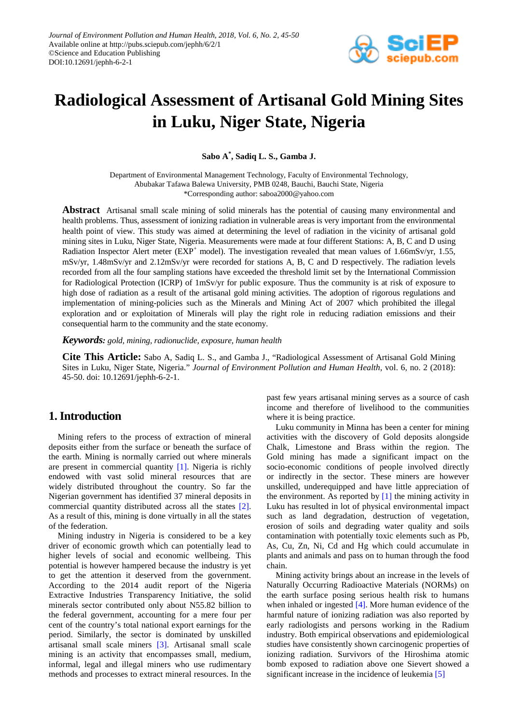

# **Radiological Assessment of Artisanal Gold Mining Sites in Luku, Niger State, Nigeria**

**Sabo A\* , Sadiq L. S., Gamba J.**

Department of Environmental Management Technology, Faculty of Environmental Technology, Abubakar Tafawa Balewa University, PMB 0248, Bauchi, Bauchi State, Nigeria \*Corresponding author: saboa2000@yahoo.com

**Abstract** Artisanal small scale mining of solid minerals has the potential of causing many environmental and health problems. Thus, assessment of ionizing radiation in vulnerable areas is very important from the environmental health point of view. This study was aimed at determining the level of radiation in the vicinity of artisanal gold mining sites in Luku, Niger State, Nigeria. Measurements were made at four different Stations: A, B, C and D using Radiation Inspector Alert meter ( $EXP<sup>+</sup>$  model). The investigation revealed that mean values of 1.66mSv/yr, 1.55, mSv/yr, 1.48mSv/yr and 2.12mSv/yr were recorded for stations A, B, C and D respectively. The radiation levels recorded from all the four sampling stations have exceeded the threshold limit set by the International Commission for Radiological Protection (ICRP) of 1mSv/yr for public exposure. Thus the community is at risk of exposure to high dose of radiation as a result of the artisanal gold mining activities. The adoption of rigorous regulations and implementation of mining-policies such as the Minerals and Mining Act of 2007 which prohibited the illegal exploration and or exploitation of Minerals will play the right role in reducing radiation emissions and their consequential harm to the community and the state economy.

*Keywords: gold, mining, radionuclide, exposure, human health*

**Cite This Article:** Sabo A, Sadiq L. S., and Gamba J., "Radiological Assessment of Artisanal Gold Mining Sites in Luku, Niger State, Nigeria." *Journal of Environment Pollution and Human Health*, vol. 6, no. 2 (2018): 45-50. doi: 10.12691/jephh-6-2-1.

# **1. Introduction**

Mining refers to the process of extraction of mineral deposits either from the surface or beneath the surface of the earth. Mining is normally carried out where minerals are present in commercial quantity [\[1\].](#page-5-0) Nigeria is richly endowed with vast solid mineral resources that are widely distributed throughout the country. So far the Nigerian government has identified 37 mineral deposits in commercial quantity distributed across all the states [\[2\].](#page-5-1) As a result of this, mining is done virtually in all the states of the federation.

Mining industry in Nigeria is considered to be a key driver of economic growth which can potentially lead to higher levels of social and economic wellbeing. This potential is however hampered because the industry is yet to get the attention it deserved from the government. According to the 2014 audit report of the Nigeria Extractive Industries Transparency Initiative, the solid minerals sector contributed only about N55.82 billion to the federal government, accounting for a mere four per cent of the country's total national export earnings for the period. Similarly, the sector is dominated by unskilled artisanal small scale miners [\[3\].](#page-5-2) Artisanal small scale mining is an activity that encompasses small, medium, informal, legal and illegal miners who use rudimentary methods and processes to extract mineral resources. In the

past few years artisanal mining serves as a source of cash income and therefore of livelihood to the communities where it is being practice.

Luku community in Minna has been a center for mining activities with the discovery of Gold deposits alongside Chalk, Limestone and Brass within the region. The Gold mining has made a significant impact on the socio-economic conditions of people involved directly or indirectly in the sector. These miners are however unskilled, underequipped and have little appreciation of the environment. As reported by  $[1]$  the mining activity in Luku has resulted in lot of physical environmental impact such as land degradation, destruction of vegetation, erosion of soils and degrading water quality and soils contamination with potentially toxic elements such as Pb, As, Cu, Zn, Ni, Cd and Hg which could accumulate in plants and animals and pass on to human through the food chain.

Mining activity brings about an increase in the levels of Naturally Occurring Radioactive Materials (NORMs) on the earth surface posing serious health risk to humans when inhaled or ingested  $[4]$ . More human evidence of the harmful nature of ionizing radiation was also reported by early radiologists and persons working in the Radium industry. Both empirical observations and epidemiological studies have consistently shown carcinogenic properties of ionizing radiation. Survivors of the Hiroshima atomic bomb exposed to radiation above one Sievert showed a significant increase in the incidence of leukemia [\[5\]](#page-5-4)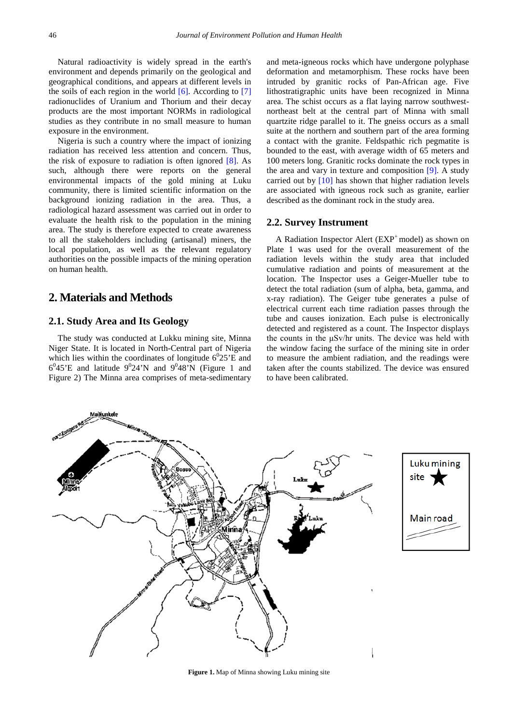Natural radioactivity is widely spread in the earth's environment and depends primarily on the geological and geographical conditions, and appears at different levels in the soils of each region in the world  $[6]$ . According to  $[7]$ radionuclides of Uranium and Thorium and their decay products are the most important NORMs in radiological studies as they contribute in no small measure to human exposure in the environment.

Nigeria is such a country where the impact of ionizing radiation has received less attention and concern. Thus, the risk of exposure to radiation is often ignored  $[8]$ . As such, although there were reports on the general environmental impacts of the gold mining at Luku community, there is limited scientific information on the background ionizing radiation in the area. Thus, a radiological hazard assessment was carried out in order to evaluate the health risk to the population in the mining area. The study is therefore expected to create awareness to all the stakeholders including (artisanal) miners, the local population, as well as the relevant regulatory authorities on the possible impacts of the mining operation on human health.

## **2. Materials and Methods**

## **2.1. Study Area and Its Geology**

The study was conducted at Lukku mining site, Minna Niger State. It is located in North-Central part of Nigeria which lies within the coordinates of longitude  $6^025$ 'E and  $6^0$ 45'E and latitude  $9^0$ 24'N and  $9^0$ 48'N (Figure 1 and Figure 2) The Minna area comprises of meta-sedimentary

and meta-igneous rocks which have undergone polyphase deformation and metamorphism. These rocks have been intruded by granitic rocks of Pan-African age. Five lithostratigraphic units have been recognized in Minna area. The schist occurs as a flat laying narrow southwestnortheast belt at the central part of Minna with small quartzite ridge parallel to it. The gneiss occurs as a small suite at the northern and southern part of the area forming a contact with the granite. Feldspathic rich pegmatite is bounded to the east, with average width of 65 meters and 100 meters long. Granitic rocks dominate the rock types in the area and vary in texture and composition [\[9\].](#page-5-8) A study carried out by [\[10\]](#page-5-9) has shown that higher radiation levels are associated with igneous rock such as granite, earlier described as the dominant rock in the study area.

#### **2.2. Survey Instrument**

A Radiation Inspector Alert (EXP<sup>+</sup> model) as shown on Plate 1 was used for the overall measurement of the radiation levels within the study area that included cumulative radiation and points of measurement at the location. The Inspector uses a Geiger-Mueller tube to detect the total radiation (sum of alpha, beta, gamma, and x-ray radiation). The Geiger tube generates a pulse of electrical current each time radiation passes through the tube and causes ionization. Each pulse is electronically detected and registered as a count. The Inspector displays the counts in the μSv/hr units. The device was held with the window facing the surface of the mining site in order to measure the ambient radiation, and the readings were taken after the counts stabilized. The device was ensured to have been calibrated.



**Figure 1.** Map of Minna showing Luku mining site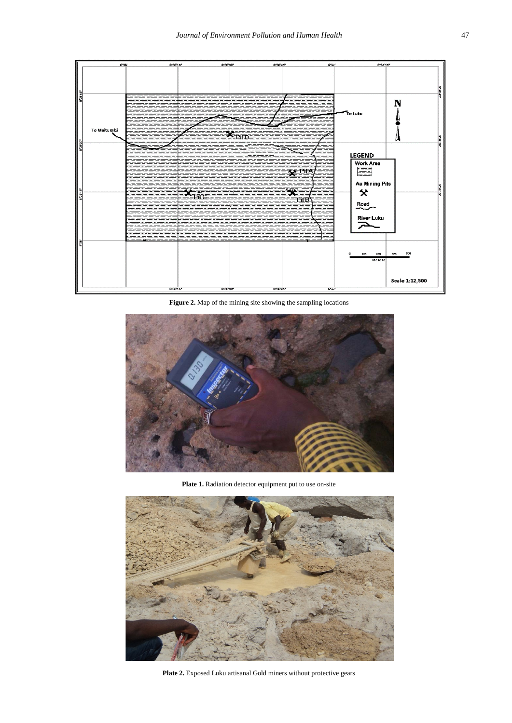

**Figure 2.** Map of the mining site showing the sampling locations



Plate 1. Radiation detector equipment put to use on-site



Plate 2. Exposed Luku artisanal Gold miners without protective gears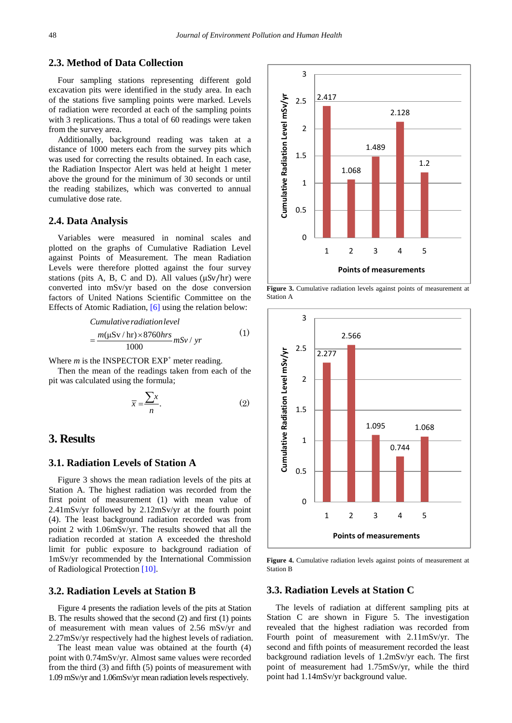## **2.3. Method of Data Collection**

Four sampling stations representing different gold excavation pits were identified in the study area. In each of the stations five sampling points were marked. Levels of radiation were recorded at each of the sampling points with 3 replications. Thus a total of 60 readings were taken from the survey area.

Additionally, background reading was taken at a distance of 1000 meters each from the survey pits which was used for correcting the results obtained. In each case, the Radiation Inspector Alert was held at height 1 meter above the ground for the minimum of 30 seconds or until the reading stabilizes, which was converted to annual cumulative dose rate.

#### **2.4. Data Analysis**

Variables were measured in nominal scales and plotted on the graphs of Cumulative Radiation Level against Points of Measurement. The mean Radiation Levels were therefore plotted against the four survey stations (pits A, B, C and D). All values (μSv/hr) were converted into mSv/yr based on the dose conversion factors of United Nations Scientific Committee on the Effects of Atomic Radiation[, \[6\]](#page-5-5) using the relation below:

Cumulative radiation level  
= 
$$
\frac{m(\mu Sv / hr) \times 8760 hrs}{1000} mSv / yr
$$
 (1)

Where  $m$  is the INSPECTOR  $EXP<sup>+</sup>$  meter reading.

Then the mean of the readings taken from each of the pit was calculated using the formula;

$$
\overline{x} = \frac{\sum x}{n}.
$$
 (2)

## **3. Results**

#### **3.1. Radiation Levels of Station A**

Figure 3 shows the mean radiation levels of the pits at Station A. The highest radiation was recorded from the first point of measurement (1) with mean value of 2.41mSv/yr followed by 2.12mSv/yr at the fourth point (4). The least background radiation recorded was from point 2 with 1.06mSv/yr. The results showed that all the radiation recorded at station A exceeded the threshold limit for public exposure to background radiation of 1mSv/yr recommended by the International Commission of Radiological Protectio[n \[10\].](#page-5-9)

### **3.2. Radiation Levels at Station B**

Figure 4 presents the radiation levels of the pits at Station B. The results showed that the second (2) and first (1) points of measurement with mean values of 2.56 mSv/yr and 2.27mSv/yr respectively had the highest levels of radiation.

The least mean value was obtained at the fourth (4) point with 0.74mSv/yr. Almost same values were recorded from the third (3) and fifth (5) points of measurement with 1.09 mSv/yr and 1.06mSv/yr mean radiation levels respectively.



**Figure 3.** Cumulative radiation levels against points of measurement at Station A



**Figure 4.** Cumulative radiation levels against points of measurement at Station B

## **3.3. Radiation Levels at Station C**

The levels of radiation at different sampling pits at Station C are shown in Figure 5. The investigation revealed that the highest radiation was recorded from Fourth point of measurement with 2.11mSv/yr. The second and fifth points of measurement recorded the least background radiation levels of 1.2mSv/yr each. The first point of measurement had 1.75mSv/yr, while the third point had 1.14mSv/yr background value.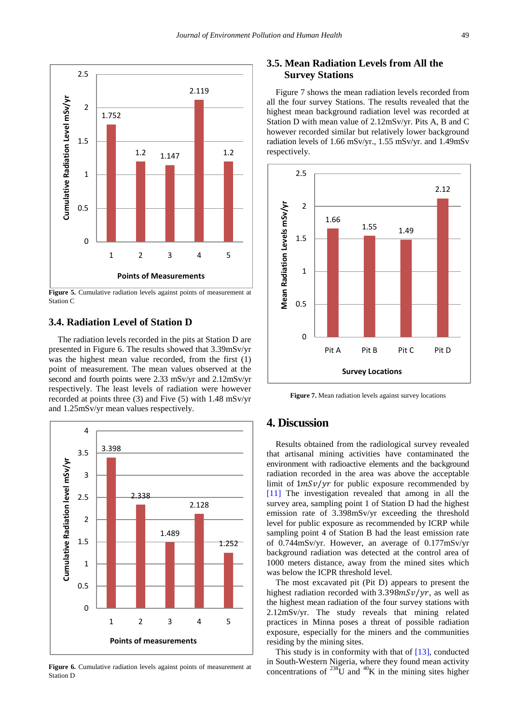

Figure 5. Cumulative radiation levels against points of measurement at Station C

## **3.4. Radiation Level of Station D**

The radiation levels recorded in the pits at Station D are presented in Figure 6. The results showed that 3.39mSv/yr was the highest mean value recorded, from the first (1) point of measurement. The mean values observed at the second and fourth points were 2.33 mSv/yr and 2.12mSv/yr respectively. The least levels of radiation were however recorded at points three (3) and Five (5) with 1.48 mSv/yr and 1.25mSv/yr mean values respectively.



Figure 6. Cumulative radiation levels against points of measurement at Station D

## **3.5. Mean Radiation Levels from All the Survey Stations**

Figure 7 shows the mean radiation levels recorded from all the four survey Stations. The results revealed that the highest mean background radiation level was recorded at Station D with mean value of 2.12mSv/yr. Pits A, B and C however recorded similar but relatively lower background radiation levels of 1.66 mSv/yr., 1.55 mSv/yr. and 1.49mSv respectively.



**Figure 7.** Mean radiation levels against survey locations

# **4. Discussion**

Results obtained from the radiological survey revealed that artisanal mining activities have contaminated the environment with radioactive elements and the background radiation recorded in the area was above the acceptable limit of  $1mSv/yr$  for public exposure recommended by [\[11\]](#page-5-10) The investigation revealed that among in all the survey area, sampling point 1 of Station D had the highest emission rate of 3.398mSv/yr exceeding the threshold level for public exposure as recommended by ICRP while sampling point 4 of Station B had the least emission rate of 0.744mSv/yr. However, an average of 0.177mSv/yr background radiation was detected at the control area of 1000 meters distance, away from the mined sites which was below the ICPR threshold level.

The most excavated pit (Pit D) appears to present the highest radiation recorded with  $3.398mSv/yr$ , as well as the highest mean radiation of the four survey stations with 2.12mSv/yr. The study reveals that mining related practices in Minna poses a threat of possible radiation exposure, especially for the miners and the communities residing by the mining sites.

This study is in conformity with that of [\[13\],](#page-5-11) conducted in South-Western Nigeria, where they found mean activity concentrations of  $^{238}$ U and  $^{40}$ K in the mining sites higher